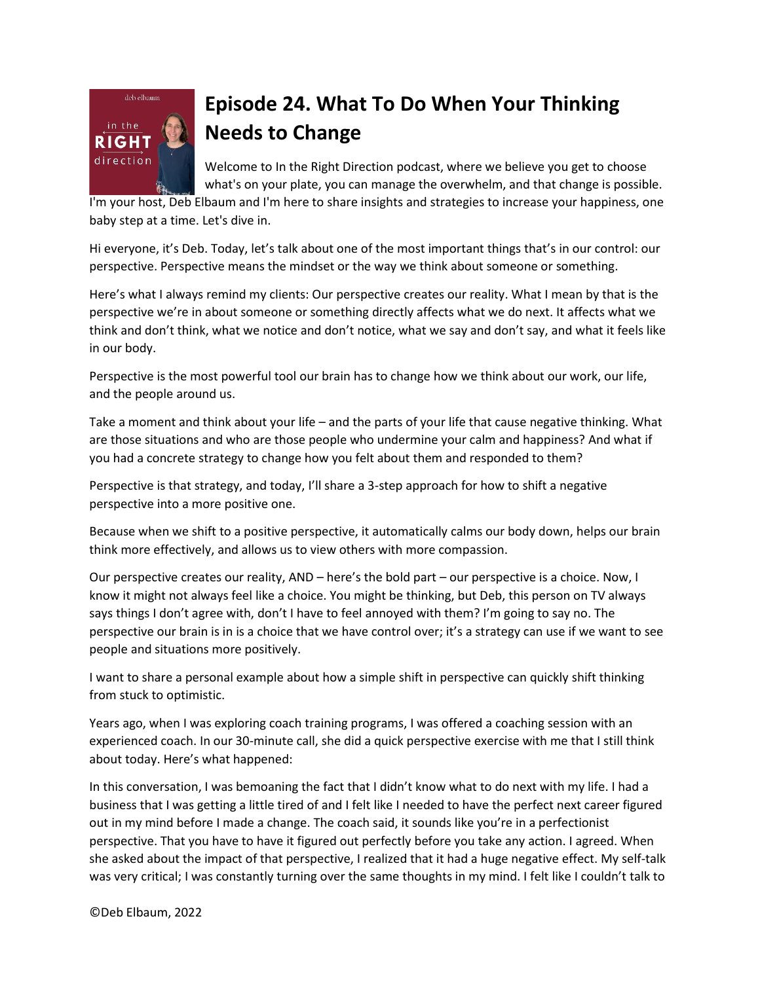

## **Episode 24. What To Do When Your Thinking Needs to Change**

Welcome to In the Right Direction podcast, where we believe you get to choose what's on your plate, you can manage the overwhelm, and that change is possible.

I'm your host, Deb Elbaum and I'm here to share insights and strategies to increase your happiness, one baby step at a time. Let's dive in.

Hi everyone, it's Deb. Today, let's talk about one of the most important things that's in our control: our perspective. Perspective means the mindset or the way we think about someone or something.

Here's what I always remind my clients: Our perspective creates our reality. What I mean by that is the perspective we're in about someone or something directly affects what we do next. It affects what we think and don't think, what we notice and don't notice, what we say and don't say, and what it feels like in our body.

Perspective is the most powerful tool our brain has to change how we think about our work, our life, and the people around us.

Take a moment and think about your life – and the parts of your life that cause negative thinking. What are those situations and who are those people who undermine your calm and happiness? And what if you had a concrete strategy to change how you felt about them and responded to them?

Perspective is that strategy, and today, I'll share a 3-step approach for how to shift a negative perspective into a more positive one.

Because when we shift to a positive perspective, it automatically calms our body down, helps our brain think more effectively, and allows us to view others with more compassion.

Our perspective creates our reality, AND – here's the bold part – our perspective is a choice. Now, I know it might not always feel like a choice. You might be thinking, but Deb, this person on TV always says things I don't agree with, don't I have to feel annoyed with them? I'm going to say no. The perspective our brain is in is a choice that we have control over; it's a strategy can use if we want to see people and situations more positively.

I want to share a personal example about how a simple shift in perspective can quickly shift thinking from stuck to optimistic.

Years ago, when I was exploring coach training programs, I was offered a coaching session with an experienced coach. In our 30-minute call, she did a quick perspective exercise with me that I still think about today. Here's what happened:

In this conversation, I was bemoaning the fact that I didn't know what to do next with my life. I had a business that I was getting a little tired of and I felt like I needed to have the perfect next career figured out in my mind before I made a change. The coach said, it sounds like you're in a perfectionist perspective. That you have to have it figured out perfectly before you take any action. I agreed. When she asked about the impact of that perspective, I realized that it had a huge negative effect. My self-talk was very critical; I was constantly turning over the same thoughts in my mind. I felt like I couldn't talk to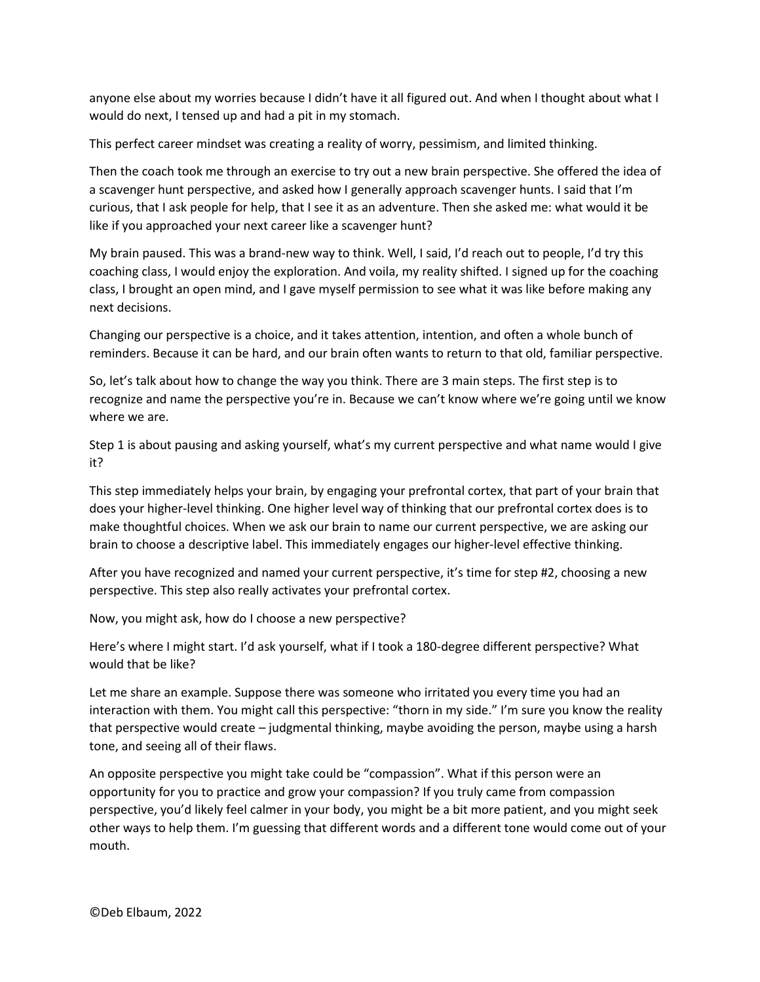anyone else about my worries because I didn't have it all figured out. And when I thought about what I would do next, I tensed up and had a pit in my stomach.

This perfect career mindset was creating a reality of worry, pessimism, and limited thinking.

Then the coach took me through an exercise to try out a new brain perspective. She offered the idea of a scavenger hunt perspective, and asked how I generally approach scavenger hunts. I said that I'm curious, that I ask people for help, that I see it as an adventure. Then she asked me: what would it be like if you approached your next career like a scavenger hunt?

My brain paused. This was a brand-new way to think. Well, I said, I'd reach out to people, I'd try this coaching class, I would enjoy the exploration. And voila, my reality shifted. I signed up for the coaching class, I brought an open mind, and I gave myself permission to see what it was like before making any next decisions.

Changing our perspective is a choice, and it takes attention, intention, and often a whole bunch of reminders. Because it can be hard, and our brain often wants to return to that old, familiar perspective.

So, let's talk about how to change the way you think. There are 3 main steps. The first step is to recognize and name the perspective you're in. Because we can't know where we're going until we know where we are.

Step 1 is about pausing and asking yourself, what's my current perspective and what name would I give it?

This step immediately helps your brain, by engaging your prefrontal cortex, that part of your brain that does your higher-level thinking. One higher level way of thinking that our prefrontal cortex does is to make thoughtful choices. When we ask our brain to name our current perspective, we are asking our brain to choose a descriptive label. This immediately engages our higher-level effective thinking.

After you have recognized and named your current perspective, it's time for step #2, choosing a new perspective. This step also really activates your prefrontal cortex.

Now, you might ask, how do I choose a new perspective?

Here's where I might start. I'd ask yourself, what if I took a 180-degree different perspective? What would that be like?

Let me share an example. Suppose there was someone who irritated you every time you had an interaction with them. You might call this perspective: "thorn in my side." I'm sure you know the reality that perspective would create – judgmental thinking, maybe avoiding the person, maybe using a harsh tone, and seeing all of their flaws.

An opposite perspective you might take could be "compassion". What if this person were an opportunity for you to practice and grow your compassion? If you truly came from compassion perspective, you'd likely feel calmer in your body, you might be a bit more patient, and you might seek other ways to help them. I'm guessing that different words and a different tone would come out of your mouth.